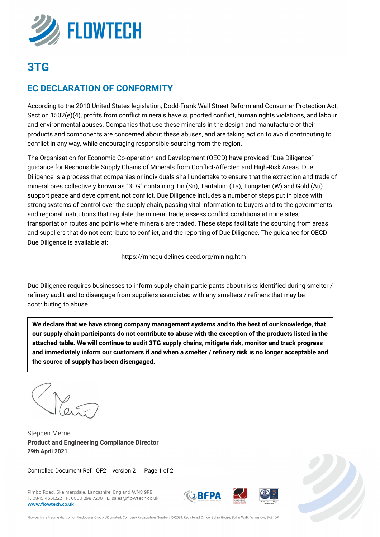

## **3TG**

## **EC DECLARATION OF CONFORMITY**

According to the 2010 United States legislation, Dodd-Frank Wall Street Reform and Consumer Protection Act, Section 1502(e)(4), profits from conflict minerals have supported conflict, human rights violations, and labour and environmental abuses. Companies that use these minerals in the design and manufacture of their products and components are concerned about these abuses, and are taking action to avoid contributing to conflict in any way, while encouraging responsible sourcing from the region.

The Organisation for Economic Co-operation and Development (OECD) have provided "Due Diligence" guidance for Responsible Supply Chains of Minerals from Conflict-Affected and High-Risk Areas. Due Diligence is a process that companies or individuals shall undertake to ensure that the extraction and trade of mineral ores collectively known as "3TG" containing Tin (Sn), Tantalum (Ta), Tungsten (W) and Gold (Au) support peace and development, not conflict. Due Diligence includes a number of steps put in place with strong systems of control over the supply chain, passing vital information to buyers and to the governments and regional institutions that regulate the mineral trade, assess conflict conditions at mine sites, transportation routes and points where minerals are traded. These steps facilitate the sourcing from areas and suppliers that do not contribute to conflict, and the reporting of Due Diligence. The guidance for OECD Due Diligence is available at:

https://mneguidelines.oecd.org/mining.htm

Due Diligence requires businesses to inform supply chain participants about risks identified during smelter / refinery audit and to disengage from suppliers associated with any smelters / refiners that may be contributing to abuse.

**We declare that we have strong company management systems and to the best of our knowledge, that our supply chain participants do not contribute to abuse with the exception of the products listed in the attached table. We will continue to audit 3TG supply chains, mitigate risk, monitor and track progress and immediately inform our customers if and when a smelter / refinery risk is no longer acceptable and the source of supply has been disengaged.**

 $\mathcal{C}$ 

Stephen Merrie **Product and Engineering Compliance Director 29th April 2021**

Controlled Document Ref: QF21I version 2 Page 1 of 2

Pimbo Road, Skelmersdale, Lancashire, England WN8 9RB T: 0845 4561222 F: 0800 298 7230 E: sales@flowtech.co.uk www.flowtech.co.uk







Flowtech is a trading division of Fluidpower Group UK Limited. Company Registration Number: 1672034. Registered Office: Bollin House, Bollin Walk, Wilmslow, SK9 1DF